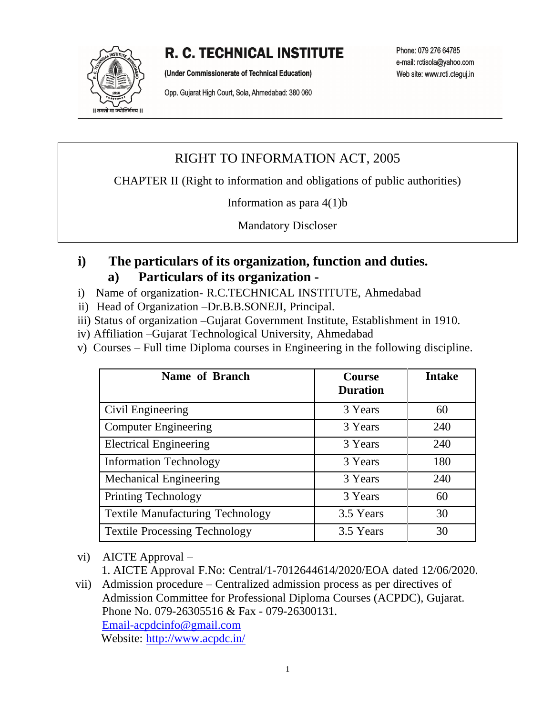# **R. C. TECHNICAL INSTITUTE**

|| तमसो मा ज्योतिर्गमय ||

(Under Commissionerate of Technical Education)

Opp. Gujarat High Court, Sola, Ahmedabad: 380 060

Phone: 079 276 64785 e-mail: rctisola@yahoo.com Web site: www.rcti.cteguj.in

## RIGHT TO INFORMATION ACT, 2005

CHAPTER II (Right to information and obligations of public authorities)

Information as para 4(1)b

Mandatory Discloser

### **i) The particulars of its organization, function and duties. a) Particulars of its organization -**

- i) Name of organization- R.C.TECHNICAL INSTITUTE, Ahmedabad
- ii) Head of Organization –Dr.B.B.SONEJI, Principal.
- iii) Status of organization –Gujarat Government Institute, Establishment in 1910.
- iv) Affiliation –Gujarat Technological University, Ahmedabad
- v) Courses Full time Diploma courses in Engineering in the following discipline.

| Name of Branch                          | <b>Course</b><br><b>Duration</b> | <b>Intake</b> |
|-----------------------------------------|----------------------------------|---------------|
| Civil Engineering                       | 3 Years                          | 60            |
| <b>Computer Engineering</b>             | 3 Years                          | 240           |
| <b>Electrical Engineering</b>           | 3 Years                          | 240           |
| <b>Information Technology</b>           | 3 Years                          | 180           |
| <b>Mechanical Engineering</b>           | 3 Years                          | 240           |
| <b>Printing Technology</b>              | 3 Years                          | 60            |
| <b>Textile Manufacturing Technology</b> | 3.5 Years                        | 30            |
| <b>Textile Processing Technology</b>    | 3.5 Years                        | 30            |

vi) AICTE Approval –

1. AICTE Approval F.No: Central/1-7012644614/2020/EOA dated 12/06/2020.

vii) Admission procedure – Centralized admission process as per directives of Admission Committee for Professional Diploma Courses (ACPDC), Gujarat. Phone No. 079-26305516 & Fax - 079-26300131. [Email-acpdcinfo@gmail.com](mailto:Email-acpdcinfo@gmail.com) Website: <http://www.acpdc.in/>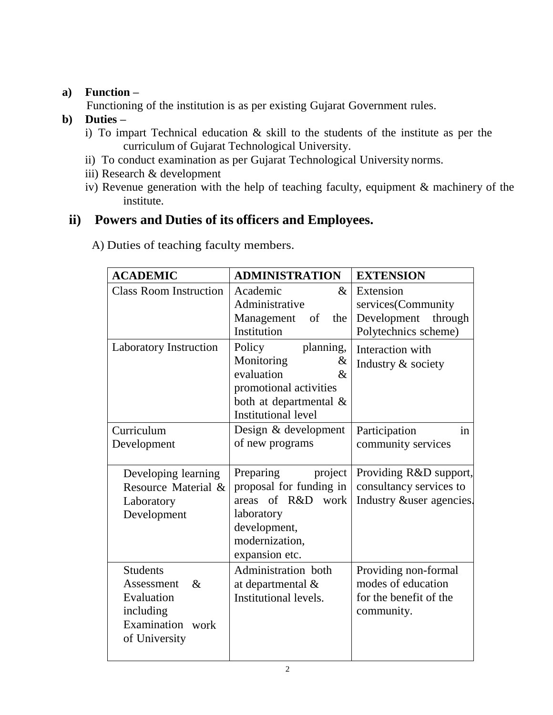#### **a) Function –**

Functioning of the institution is as per existing Gujarat Government rules.

### **b) Duties –**

- i) To impart Technical education & skill to the students of the institute as per the curriculum of Gujarat Technological University.
- ii) To conduct examination as per Gujarat Technological University norms.
- iii) Research & development
- iv) Revenue generation with the help of teaching faculty, equipment & machinery of the institute.

## **ii) Powers and Duties of its officers and Employees.**

| A) Duties of teaching faculty members. |  |  |  |  |  |  |
|----------------------------------------|--|--|--|--|--|--|
|----------------------------------------|--|--|--|--|--|--|

| <b>ACADEMIC</b>                                                                                       | <b>ADMINISTRATION</b>                                                                                                                          | <b>EXTENSION</b>                                                                   |
|-------------------------------------------------------------------------------------------------------|------------------------------------------------------------------------------------------------------------------------------------------------|------------------------------------------------------------------------------------|
| <b>Class Room Instruction</b>                                                                         | Academic<br>&<br>Administrative<br>Management<br>of<br>the<br>Institution                                                                      | Extension<br>services(Community<br>Development through<br>Polytechnics scheme)     |
| Laboratory Instruction                                                                                | planning,<br>Policy<br>Monitoring<br>&<br>evaluation<br>$\&$<br>promotional activities<br>both at departmental &<br><b>Institutional level</b> | Interaction with<br>Industry & society                                             |
| Curriculum<br>Development                                                                             | Design & development<br>of new programs                                                                                                        | Participation<br>in<br>community services                                          |
| Developing learning<br>Resource Material &<br>Laboratory<br>Development                               | project<br>Preparing<br>proposal for funding in<br>areas of R&D<br>work<br>laboratory<br>development,<br>modernization,<br>expansion etc.      | Providing R&D support,<br>consultancy services to<br>Industry &user agencies.      |
| <b>Students</b><br>$\&$<br>Assessment<br>Evaluation<br>including<br>Examination work<br>of University | Administration both<br>at departmental &<br>Institutional levels.                                                                              | Providing non-formal<br>modes of education<br>for the benefit of the<br>community. |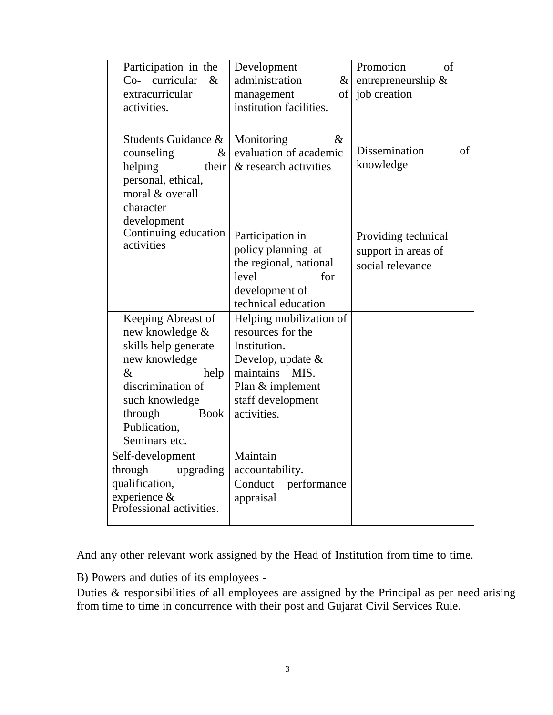| Participation in the<br>Co- curricular<br>$\&$<br>extracurricular<br>activities.                                                                                                                 | Development<br>administration<br>$\&$<br>of<br>management<br>institution facilities.                                                                              | Promotion<br>of<br>entrepreneurship &<br>job creation          |
|--------------------------------------------------------------------------------------------------------------------------------------------------------------------------------------------------|-------------------------------------------------------------------------------------------------------------------------------------------------------------------|----------------------------------------------------------------|
| Students Guidance &<br>counseling<br>$\&$<br>helping<br>their<br>personal, ethical,<br>moral & overall<br>character<br>development                                                               | $\&$<br>Monitoring<br>evaluation of academic<br>& research activities                                                                                             | <b>Dissemination</b><br>of<br>knowledge                        |
| Continuing education<br>activities                                                                                                                                                               | Participation in<br>policy planning at<br>the regional, national<br>level<br>for<br>development of<br>technical education                                         | Providing technical<br>support in areas of<br>social relevance |
| Keeping Abreast of<br>new knowledge &<br>skills help generate<br>new knowledge<br>$\&$<br>help<br>discrimination of<br>such knowledge<br>through<br><b>Book</b><br>Publication,<br>Seminars etc. | Helping mobilization of<br>resources for the<br>Institution.<br>Develop, update $\&$<br>maintains<br>MIS.<br>Plan & implement<br>staff development<br>activities. |                                                                |
| Self-development<br>through<br>upgrading<br>qualification,<br>experience &<br>Professional activities.                                                                                           | Maintain<br>accountability.<br>Conduct<br>performance<br>appraisal                                                                                                |                                                                |

And any other relevant work assigned by the Head of Institution from time to time.

B) Powers and duties of its employees -

Duties & responsibilities of all employees are assigned by the Principal as per need arising from time to time in concurrence with their post and Gujarat Civil Services Rule.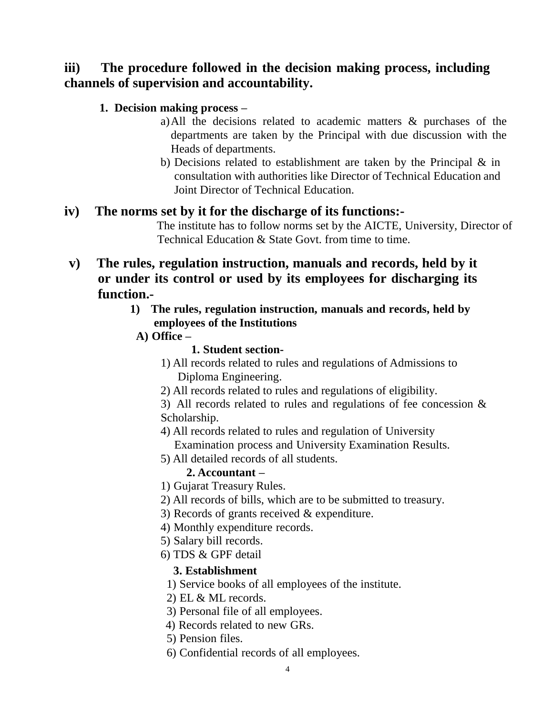## **iii) The procedure followed in the decision making process, including channels of supervision and accountability.**

#### **1. Decision making process –**

- a)All the decisions related to academic matters & purchases of the departments are taken by the Principal with due discussion with the Heads of departments.
- b) Decisions related to establishment are taken by the Principal & in consultation with authorities like Director of Technical Education and Joint Director of Technical Education.

#### **iv) The norms set by it for the discharge of its functions:-**

The institute has to follow norms set by the AICTE, University, Director of Technical Education & State Govt. from time to time.

- **v) The rules, regulation instruction, manuals and records, held by it or under its control or used by its employees for discharging its function.-**
	- **1) The rules, regulation instruction, manuals and records, held by employees of the Institutions**
		- **A) Office –**

#### **1. Student section-**

- 1) All records related to rules and regulations of Admissions to Diploma Engineering.
- 2) All records related to rules and regulations of eligibility.

3) All records related to rules and regulations of fee concession & Scholarship.

- 4) All records related to rules and regulation of University Examination process and University Examination Results.
- 5) All detailed records of all students.

## **2. Accountant –**

- 1) Gujarat Treasury Rules.
- 2) All records of bills, which are to be submitted to treasury.
- 3) Records of grants received & expenditure.
- 4) Monthly expenditure records.
- 5) Salary bill records.
- 6) TDS & GPF detail

#### **3. Establishment**

- 1) Service books of all employees of the institute.
- 2) EL & ML records.
- 3) Personal file of all employees.
- 4) Records related to new GRs.
- 5) Pension files.
- 6) Confidential records of all employees.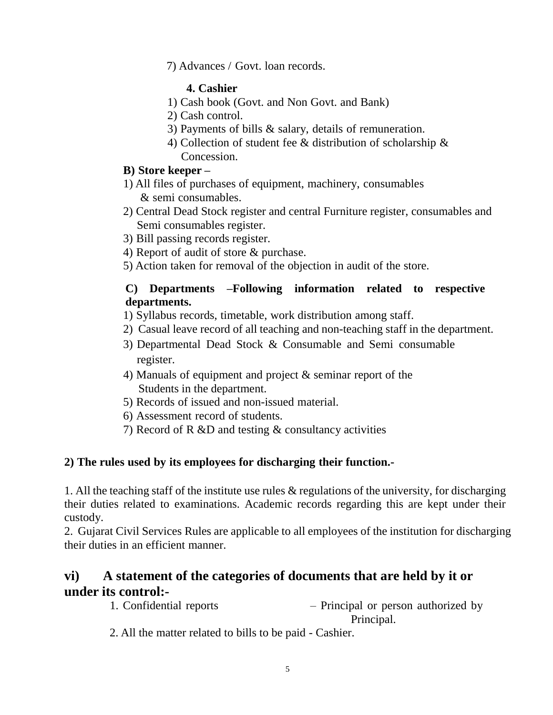7) Advances / Govt. loan records.

#### **4. Cashier**

- 1) Cash book (Govt. and Non Govt. and Bank)
- 2) Cash control.
- 3) Payments of bills & salary, details of remuneration.
- 4) Collection of student fee & distribution of scholarship & Concession.

#### **B) Store keeper –**

- 1) All files of purchases of equipment, machinery, consumables & semi consumables.
- 2) Central Dead Stock register and central Furniture register, consumables and Semi consumables register.
- 3) Bill passing records register.
- 4) Report of audit of store & purchase.
- 5) Action taken for removal of the objection in audit of the store.

#### **C) Departments –Following information related to respective departments.**

1) Syllabus records, timetable, work distribution among staff.

- 2) Casual leave record of all teaching and non-teaching staff in the department.
- 3) Departmental Dead Stock & Consumable and Semi consumable register.
- 4) Manuals of equipment and project & seminar report of the Students in the department.
- 5) Records of issued and non-issued material.
- 6) Assessment record of students.
- 7) Record of R &D and testing & consultancy activities

#### **2) The rules used by its employees for discharging their function.-**

1. All the teaching staff of the institute use rules & regulations of the university, for discharging their duties related to examinations. Academic records regarding this are kept under their custody.

2. Gujarat Civil Services Rules are applicable to all employees of the institution for discharging their duties in an efficient manner.

### **vi) A statement of the categories of documents that are held by it or under its control:-**

1. Confidential reports – Principal or person authorized by Principal.

2. All the matter related to bills to be paid - Cashier.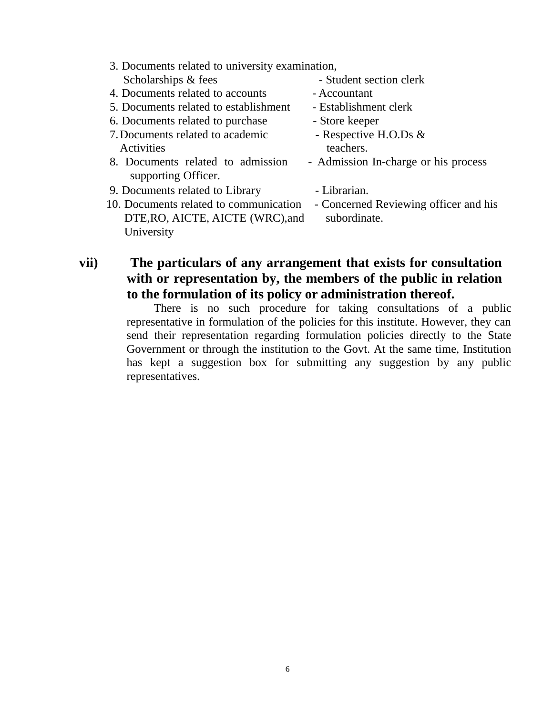- 3. Documents related to university examination, Scholarships & fees - Student section clerk
- 4. Documents related to accounts Accountant
- 5. Documents related to establishment Establishment clerk
- 6. Documents related to purchase Store keeper
- 7. Documents related to academic Respective H.O.Ds & Activities teachers.
- 8. Documents related to admission Admission In-charge or his process supporting Officer.
- 9. Documents related to Library Librarian.
- 10. Documents related to communication Concerned Reviewing officer and his DTE, RO, AICTE, AICTE (WRC), and subordinate. University
- 
- 
- 
- 
- 
- 
- 
- 

#### **vii) The particulars of any arrangement that exists for consultation with or representation by, the members of the public in relation to the formulation of its policy or administration thereof.**

There is no such procedure for taking consultations of a public representative in formulation of the policies for this institute. However, they can send their representation regarding formulation policies directly to the State Government or through the institution to the Govt. At the same time, Institution has kept a suggestion box for submitting any suggestion by any public representatives.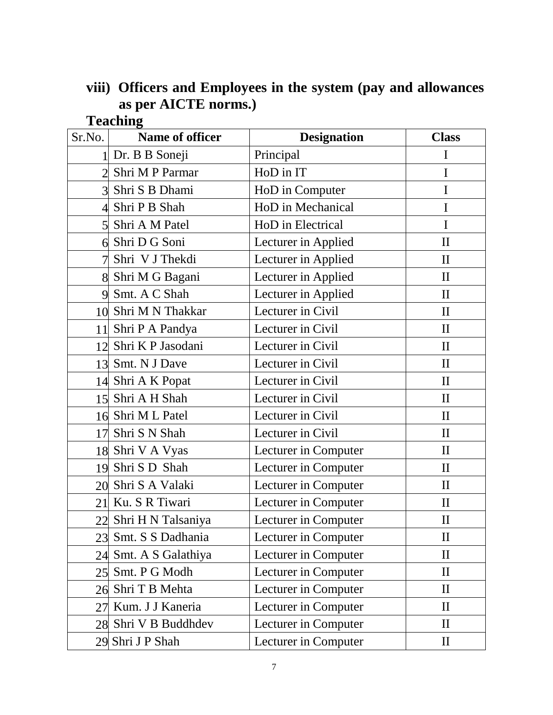## **viii) Officers and Employees in the system (pay and allowances as per AICTE norms.) Teaching**

| Sr.No.         | Name of officer       | <b>Designation</b>   | <b>Class</b> |
|----------------|-----------------------|----------------------|--------------|
| 1 <sup>1</sup> | Dr. B B Soneji        | Principal            | I            |
| $\overline{2}$ | Shri M P Parmar       | HoD in IT            | I            |
|                | 3 Shri S B Dhami      | HoD in Computer      | I            |
| $\overline{4}$ | Shri P B Shah         | HoD in Mechanical    | I            |
| $\overline{5}$ | Shri A M Patel        | HoD in Electrical    | $\mathbf I$  |
| 6              | Shri D G Soni         | Lecturer in Applied  | $\mathbf{I}$ |
|                | Shri V J Thekdi       | Lecturer in Applied  | $\mathbf{I}$ |
|                | 8 Shri M G Bagani     | Lecturer in Applied  | $\mathbf{I}$ |
| 9              | Smt. A C Shah         | Lecturer in Applied  | $\mathbf{I}$ |
| 10             | Shri M N Thakkar      | Lecturer in Civil    | $\mathbf{I}$ |
|                | 11 Shri P A Pandya    | Lecturer in Civil    | $\mathbf{I}$ |
|                | 12 Shri K P Jasodani  | Lecturer in Civil    | $\mathbf{I}$ |
|                | 13 Smt. N J Dave      | Lecturer in Civil    | $\mathbf{I}$ |
|                | 14 Shri A K Popat     | Lecturer in Civil    | $\mathbf{I}$ |
|                | 15 Shri A H Shah      | Lecturer in Civil    | $\mathbf{I}$ |
|                | 16 Shri M L Patel     | Lecturer in Civil    | $\mathbf{I}$ |
| 17             | Shri S N Shah         | Lecturer in Civil    | $\mathbf{I}$ |
|                | 18 Shri V A Vyas      | Lecturer in Computer | $\prod$      |
| 19             | Shri S D Shah         | Lecturer in Computer | $\mathbf{I}$ |
| 20             | Shri S A Valaki       | Lecturer in Computer | $\mathbf{I}$ |
|                | 21 Ku. S R Tiwari     | Lecturer in Computer | $\prod$      |
|                | 22 Shri H N Talsaniya | Lecturer in Computer | $\mathbf{I}$ |
| 23             | Smt. S S Dadhania     | Lecturer in Computer | $\mathbf{I}$ |
| 24             | Smt. A S Galathiya    | Lecturer in Computer | $\rm II$     |
| 25             | Smt. P G Modh         | Lecturer in Computer | $\mathbf{I}$ |
| 26             | Shri T B Mehta        | Lecturer in Computer | $\rm II$     |
| 27             | Kum. J J Kaneria      | Lecturer in Computer | $\mathbf{I}$ |
| 28             | Shri V B Buddhdev     | Lecturer in Computer | $\rm{II}$    |
|                | 29 Shri J P Shah      | Lecturer in Computer | $\mathbf{I}$ |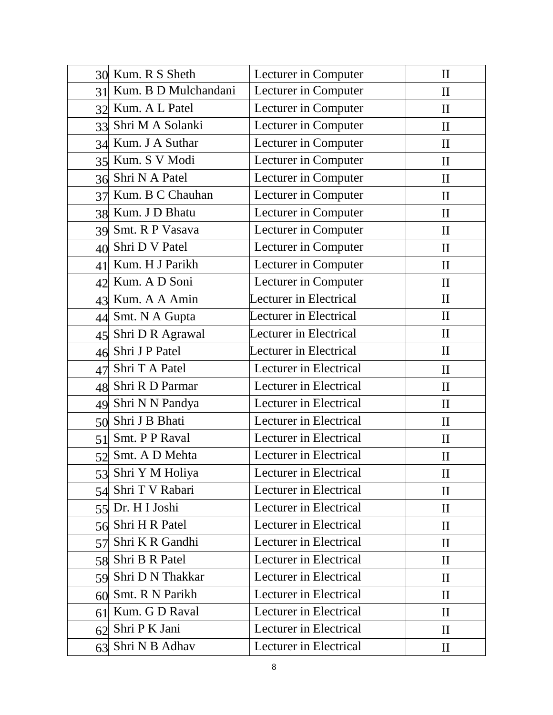|    | 30 Kum. R S Sheth    | Lecturer in Computer   | $\mathbf{I}$ |
|----|----------------------|------------------------|--------------|
| 31 | Kum. B D Mulchandani | Lecturer in Computer   | $\mathbf{I}$ |
| 32 | Kum. A L Patel       | Lecturer in Computer   | $\mathbf{I}$ |
| 33 | Shri M A Solanki     | Lecturer in Computer   | $\mathbf{I}$ |
|    | 34 Kum. J A Suthar   | Lecturer in Computer   | $\mathbf{I}$ |
|    | 35 Kum. S V Modi     | Lecturer in Computer   | $\mathbf{I}$ |
|    | 36 Shri N A Patel    | Lecturer in Computer   | $\mathbf{I}$ |
| 37 | Kum. B C Chauhan     | Lecturer in Computer   | $\mathbf{I}$ |
|    | 38 Kum. J D Bhatu    | Lecturer in Computer   | $\mathbf{I}$ |
|    | 39 Smt. R P Vasava   | Lecturer in Computer   | $\mathbf{I}$ |
| 40 | Shri D V Patel       | Lecturer in Computer   | $\mathbf{I}$ |
| 41 | Kum. H J Parikh      | Lecturer in Computer   | $\mathbf{I}$ |
| 42 | Kum. A D Soni        | Lecturer in Computer   | $\mathbf{I}$ |
| 43 | Kum. A A Amin        | Lecturer in Electrical | $\mathbf{I}$ |
| 44 | Smt. N A Gupta       | Lecturer in Electrical | $\mathbf{I}$ |
|    | 45 Shri D R Agrawal  | Lecturer in Electrical | $\mathbf{I}$ |
|    | 46 Shri J P Patel    | Lecturer in Electrical | $\mathbf{I}$ |
| 47 | Shri T A Patel       | Lecturer in Electrical | $\mathbf{I}$ |
| 48 | Shri R D Parmar      | Lecturer in Electrical | $\mathbf{I}$ |
| 49 | Shri N N Pandya      | Lecturer in Electrical | $\mathbf{I}$ |
| 50 | Shri J B Bhati       | Lecturer in Electrical | $\mathbf{I}$ |
| 51 | Smt. P P Raval       | Lecturer in Electrical | $\mathbf{I}$ |
| 52 | Smt. A D Mehta       | Lecturer in Electrical | $\mathbf{I}$ |
|    | 53 Shri Y M Holiya   | Lecturer in Electrical | $\rm II$     |
| 54 | Shri T V Rabari      | Lecturer in Electrical | $\mathbf{I}$ |
|    | 55 Dr. H I Joshi     | Lecturer in Electrical | $\mathbf{I}$ |
| 56 | Shri H R Patel       | Lecturer in Electrical | $\mathbf{I}$ |
| 57 | Shri K R Gandhi      | Lecturer in Electrical | $\mathbf{I}$ |
| 58 | Shri B R Patel       | Lecturer in Electrical | $\rm II$     |
| 59 | Shri D N Thakkar     | Lecturer in Electrical | $\mathbf{I}$ |
| 60 | Smt. R N Parikh      | Lecturer in Electrical | $\rm II$     |
| 61 | Kum. G D Raval       | Lecturer in Electrical | $\mathbf{I}$ |
| 62 | Shri P K Jani        | Lecturer in Electrical | $\mathbf{I}$ |
| 63 | Shri N B Adhav       | Lecturer in Electrical | $\mathbf{I}$ |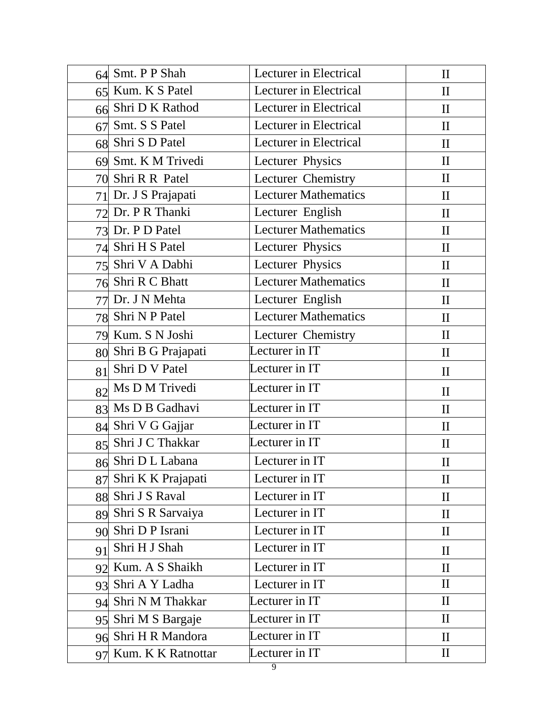| 64 | Smt. P P Shah         | Lecturer in Electrical      | $\mathbf{I}$ |
|----|-----------------------|-----------------------------|--------------|
|    | 65 Kum. K S Patel     | Lecturer in Electrical      | $\mathbf{I}$ |
|    | 66 Shri D K Rathod    | Lecturer in Electrical      | $\mathbf{I}$ |
| 67 | Smt. S S Patel        | Lecturer in Electrical      | $\mathbf{I}$ |
|    | 68 Shri S D Patel     | Lecturer in Electrical      | $\mathbf{I}$ |
|    | 69 Smt. K M Trivedi   | Lecturer Physics            | $\mathbf{I}$ |
|    | 70 Shri R R Patel     | Lecturer Chemistry          | $\mathbf{I}$ |
| 71 | Dr. J S Prajapati     | <b>Lecturer Mathematics</b> | $\mathbf{I}$ |
|    | 72 Dr. P R Thanki     | Lecturer English            | $\mathbf{I}$ |
|    | 73 Dr. P D Patel      | <b>Lecturer Mathematics</b> | $\mathbf{I}$ |
|    | 74 Shri H S Patel     | Lecturer Physics            | $\mathbf{I}$ |
|    | 75 Shri V A Dabhi     | Lecturer Physics            | $\mathbf{I}$ |
|    | 76 Shri R C Bhatt     | <b>Lecturer Mathematics</b> | $\mathbf{I}$ |
| 77 | Dr. J N Mehta         | Lecturer English            | $\mathbf{I}$ |
|    | 78 Shri N P Patel     | <b>Lecturer Mathematics</b> | $\mathbf{I}$ |
|    | 79 Kum. S N Joshi     | Lecturer Chemistry          | $\mathbf{I}$ |
| 80 | Shri B G Prajapati    | Lecturer in IT              | $\mathbf{I}$ |
| 81 | Shri D V Patel        | Lecturer in IT              | $\mathbf{I}$ |
| 82 | Ms D M Trivedi        | Lecturer in IT              | $\mathbf{I}$ |
|    | 83 Ms D B Gadhavi     | Lecturer in IT              | $\mathbf{I}$ |
|    | 84 Shri V G Gajjar    | Lecturer in IT              | $\mathbf{I}$ |
|    | 85 Shri J C Thakkar   | Lecturer in IT              | $\mathbf{I}$ |
|    | 86 Shri D L Labana    | Lecturer in IT              | $\mathbf{I}$ |
| 87 | Shri K K Prajapati    | Lecturer in IT              | $\mathbf{I}$ |
| 88 | Shri J S Raval        | Lecturer in IT              | $\mathbf{I}$ |
|    | 89 Shri S R Sarvaiya  | Lecturer in IT              | $\mathbf{I}$ |
| 90 | Shri D P Israni       | Lecturer in IT              | $\rm II$     |
| 91 | Shri H J Shah         | Lecturer in IT              | $\mathbf{I}$ |
|    | 92 Kum. A S Shaikh    | Lecturer in IT              | $\mathbf{I}$ |
| 93 | Shri A Y Ladha        | Lecturer in IT              | $\mathbf{I}$ |
| 94 | Shri N M Thakkar      | Lecturer in IT              | $\mathbf{I}$ |
| 95 | Shri M S Bargaje      | Lecturer in IT              | $\mathbf{I}$ |
| 96 | Shri H R Mandora      | Lecturer in IT              | $\mathbf{I}$ |
|    | 97 Kum. K K Ratnottar | Lecturer in IT              | $\mathbf{I}$ |
|    |                       | 9                           |              |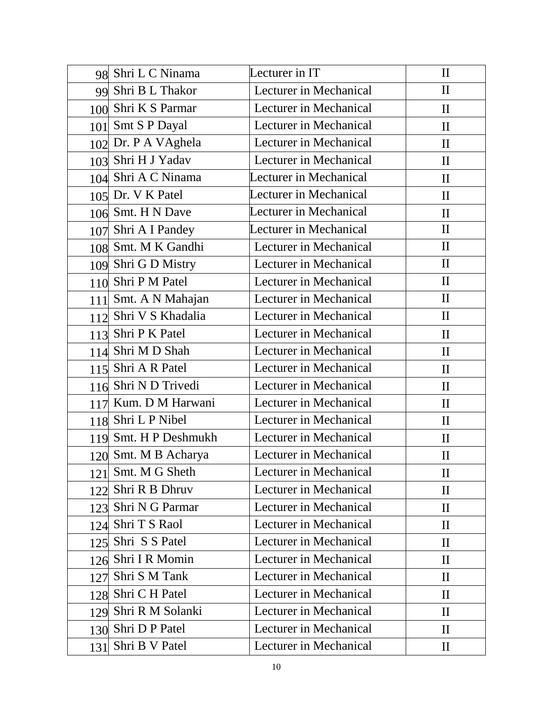|            | 98 Shri L C Ninama    | Lecturer in IT         | $\mathbf{I}$ |
|------------|-----------------------|------------------------|--------------|
|            | 99 Shri B L Thakor    | Lecturer in Mechanical | $\mathbf{I}$ |
|            | 100 Shri K S Parmar   | Lecturer in Mechanical | $\mathbf{I}$ |
|            | 101 Smt S P Dayal     | Lecturer in Mechanical | $\mathbf{I}$ |
|            | 102 Dr. P A VAghela   | Lecturer in Mechanical | $\mathbf{I}$ |
|            | 103 Shri H J Yadav    | Lecturer in Mechanical | $\mathbf{I}$ |
|            | 104 Shri A C Ninama   | Lecturer in Mechanical | $\mathbf{I}$ |
|            | 105 Dr. V K Patel     | Lecturer in Mechanical | $\mathbf{I}$ |
|            | 106 Smt. H N Dave     | Lecturer in Mechanical | $\mathbf{I}$ |
|            | 107 Shri A I Pandey   | Lecturer in Mechanical | $\mathbf{I}$ |
|            | 108 Smt. M K Gandhi   | Lecturer in Mechanical | $\mathbf{I}$ |
|            | 109 Shri G D Mistry   | Lecturer in Mechanical | $\mathbf{I}$ |
|            | 110 Shri P M Patel    | Lecturer in Mechanical | $\mathbf{I}$ |
|            | 111 Smt. A N Mahajan  | Lecturer in Mechanical | $\mathbf{I}$ |
|            | 112 Shri V S Khadalia | Lecturer in Mechanical | $\mathbf{I}$ |
|            | 113 Shri P K Patel    | Lecturer in Mechanical | $\mathbf{I}$ |
|            | 114 Shri M D Shah     | Lecturer in Mechanical | $\mathbf{I}$ |
|            | 115 Shri A R Patel    | Lecturer in Mechanical | $\mathbf{I}$ |
|            | 116 Shri N D Trivedi  | Lecturer in Mechanical | $\mathbf{I}$ |
|            | 117 Kum. D M Harwani  | Lecturer in Mechanical | $\mathbf{I}$ |
|            | 118 Shri L P Nibel    | Lecturer in Mechanical | $\mathbf{I}$ |
|            | 119 Smt. H P Deshmukh | Lecturer in Mechanical | $\mathbf{I}$ |
|            | 120 Smt. M B Acharya  | Lecturer in Mechanical | $\mathbf{I}$ |
| <u>121</u> | Smt. M G Sheth        | Lecturer in Mechanical | $\rm II$     |
| 122        | Shri R B Dhruv        | Lecturer in Mechanical | $\rm II$     |
| 123        | Shri N G Parmar       | Lecturer in Mechanical | $\mathbf{I}$ |
| 124        | Shri T S Raol         | Lecturer in Mechanical | $\mathbf{I}$ |
| 125        | Shri S S Patel        | Lecturer in Mechanical | $\mathbf{I}$ |
| 126        | Shri I R Momin        | Lecturer in Mechanical | $\mathbf{I}$ |
| 127        | Shri S M Tank         | Lecturer in Mechanical | $\mathbf{I}$ |
| 128        | Shri C H Patel        | Lecturer in Mechanical | $\mathbf{I}$ |
| 129        | Shri R M Solanki      | Lecturer in Mechanical | $\mathbf{I}$ |
| 130        | Shri D P Patel        | Lecturer in Mechanical | $\mathbf{I}$ |
| 131        | Shri B V Patel        | Lecturer in Mechanical | $\mathbf{I}$ |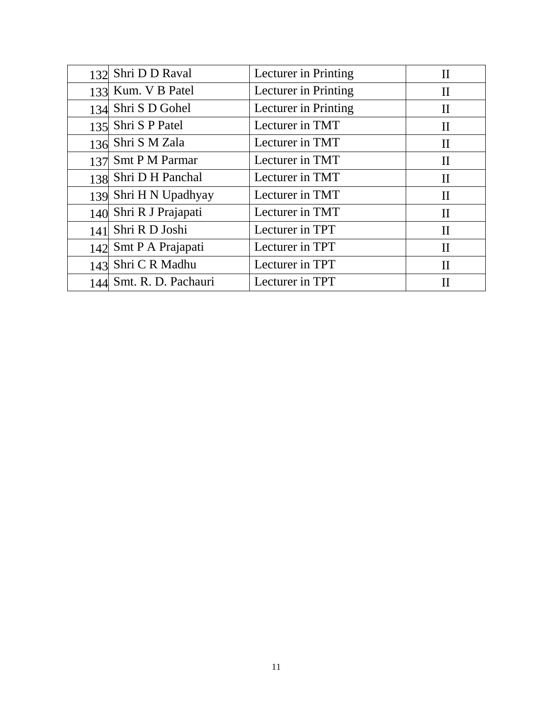|     | 132 Shri D D Raval      | Lecturer in Printing | $\mathbf{I}$ |
|-----|-------------------------|----------------------|--------------|
|     | 133 Kum. V B Patel      | Lecturer in Printing | $\rm II$     |
|     | 134 Shri S D Gohel      | Lecturer in Printing | $\rm II$     |
|     | 135 Shri S P Patel      | Lecturer in TMT      | $\rm II$     |
|     | 136 Shri S M Zala       | Lecturer in TMT      | $\mathbf{I}$ |
|     | 137 Smt P M Parmar      | Lecturer in TMT      | $\rm II$     |
|     | 138 Shri D H Panchal    | Lecturer in TMT      | $\mathbf{I}$ |
|     | 139 Shri H N Upadhyay   | Lecturer in TMT      | $\mathbf{I}$ |
|     | 140 Shri R J Prajapati  | Lecturer in TMT      | $\mathbf{I}$ |
| 141 | Shri R D Joshi          | Lecturer in TPT      | $\rm II$     |
|     | 142 Smt P A Prajapati   | Lecturer in TPT      | $\rm II$     |
| 143 | Shri C R Madhu          | Lecturer in TPT      | $\mathbf{I}$ |
|     | 144 Smt. R. D. Pachauri | Lecturer in TPT      | Н            |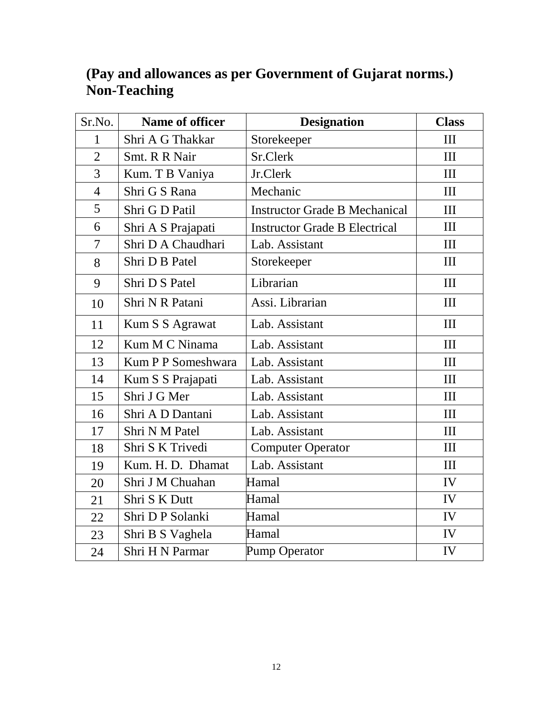| Sr.No.         | Name of officer           | <b>Designation</b>                   | <b>Class</b>   |
|----------------|---------------------------|--------------------------------------|----------------|
| $\mathbf{1}$   | Shri A G Thakkar          | Storekeeper                          | Ш              |
| $\overline{2}$ | Smt. R R Nair             | Sr.Clerk                             | III            |
| 3              | Kum. T B Vaniya           | Jr.Clerk                             | III            |
| $\overline{4}$ | Shri G S Rana             | Mechanic                             | III            |
| 5              | Shri G D Patil            | <b>Instructor Grade B Mechanical</b> | III            |
| 6              | Shri A S Prajapati        | <b>Instructor Grade B Electrical</b> | Ш              |
| $\overline{7}$ | Shri D A Chaudhari        | Lab. Assistant                       | $\mathbf{I}$   |
| 8              | Shri D B Patel            | Storekeeper                          | III            |
| 9              | Shri D S Patel            | Librarian                            | III            |
| 10             | Shri N R Patani           | Assi. Librarian                      | III            |
| 11             | Kum S S Agrawat           | Lab. Assistant                       | III            |
| 12             | Kum M C Ninama            | Lab. Assistant                       | III            |
| 13             | <b>Kum P P Someshwara</b> | Lab. Assistant                       | $\mathbf{I}$   |
| 14             | Kum S S Prajapati         | Lab. Assistant                       | III            |
| 15             | Shri J G Mer              | Lab. Assistant                       | III            |
| 16             | Shri A D Dantani          | Lab. Assistant                       | III            |
| 17             | Shri N M Patel            | Lab. Assistant                       | III            |
| 18             | Shri S K Trivedi          | <b>Computer Operator</b>             | III            |
| 19             | Kum. H. D. Dhamat         | Lab. Assistant                       | $\mathbf{III}$ |
| 20             | Shri J M Chuahan          | Hamal                                | IV             |
| 21             | Shri S K Dutt             | Hamal                                | IV             |
| 22             | Shri D P Solanki          | Hamal                                | IV             |
| 23             | Shri B S Vaghela          | Hamal                                | IV             |
| 24             | <b>Shri H N Parmar</b>    | Pump Operator                        | IV             |

## **(Pay and allowances as per Government of Gujarat norms.) Non-Teaching**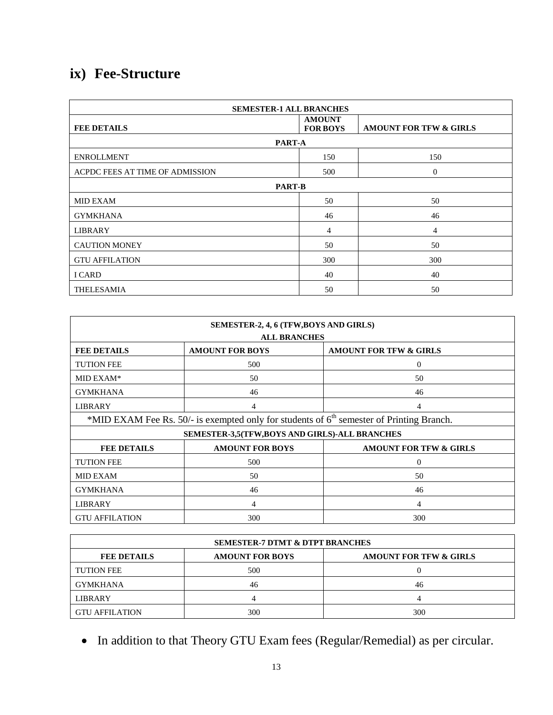# **ix) Fee-Structure**

| <b>SEMESTER-1 ALL BRANCHES</b>  |                                  |                                   |  |
|---------------------------------|----------------------------------|-----------------------------------|--|
| <b>FEE DETAILS</b>              | <b>AMOUNT</b><br><b>FOR BOYS</b> | <b>AMOUNT FOR TFW &amp; GIRLS</b> |  |
| PART-A                          |                                  |                                   |  |
| <b>ENROLLMENT</b>               | 150                              | 150                               |  |
| ACPDC FEES AT TIME OF ADMISSION | 500                              | $\overline{0}$                    |  |
| <b>PART-B</b>                   |                                  |                                   |  |
| <b>MID EXAM</b>                 | 50                               | 50                                |  |
| <b>GYMKHANA</b>                 | 46                               | 46                                |  |
| <b>LIBRARY</b>                  | 4                                | 4                                 |  |
| <b>CAUTION MONEY</b>            | 50                               | 50                                |  |
| <b>GTU AFFILATION</b>           | 300                              | 300                               |  |
| I CARD                          | 40                               | 40                                |  |
| <b>THELESAMIA</b>               | 50                               | 50                                |  |

| SEMESTER-2, 4, 6 (TFW, BOYS AND GIRLS)                                            |                                                                                            |                                   |  |
|-----------------------------------------------------------------------------------|--------------------------------------------------------------------------------------------|-----------------------------------|--|
| <b>ALL BRANCHES</b>                                                               |                                                                                            |                                   |  |
| <b>FEE DETAILS</b>                                                                | <b>AMOUNT FOR BOYS</b>                                                                     | <b>AMOUNT FOR TFW &amp; GIRLS</b> |  |
| <b>TUTION FEE</b>                                                                 | 500                                                                                        | $\Omega$                          |  |
| MID EXAM*                                                                         | 50                                                                                         | 50                                |  |
| <b>GYMKHANA</b>                                                                   | 46                                                                                         | 46                                |  |
| <b>LIBRARY</b>                                                                    | 4                                                                                          | 4                                 |  |
|                                                                                   | *MID EXAM Fee Rs. 50/- is exempted only for students of $6th$ semester of Printing Branch. |                                   |  |
| SEMESTER-3,5(TFW,BOYS AND GIRLS)-ALL BRANCHES                                     |                                                                                            |                                   |  |
| <b>AMOUNT FOR BOYS</b><br><b>AMOUNT FOR TFW &amp; GIRLS</b><br><b>FEE DETAILS</b> |                                                                                            |                                   |  |
| <b>TUTION FEE</b>                                                                 | 500                                                                                        | $\overline{0}$                    |  |
| <b>MID EXAM</b>                                                                   | 50                                                                                         | 50                                |  |
| <b>GYMKHANA</b>                                                                   | 46                                                                                         | 46                                |  |
| <b>LIBRARY</b>                                                                    | 4                                                                                          | 4                                 |  |
| <b>GTU AFFILATION</b>                                                             | 300                                                                                        | 300                               |  |

| <b>SEMESTER-7 DTMT &amp; DTPT BRANCHES</b> |                        |                                   |
|--------------------------------------------|------------------------|-----------------------------------|
| <b>FEE DETAILS</b>                         | <b>AMOUNT FOR BOYS</b> | <b>AMOUNT FOR TFW &amp; GIRLS</b> |
| <b>TUTION FEE</b>                          | 500                    |                                   |
| <b>GYMKHANA</b>                            | 46                     | 46                                |
| <b>LIBRARY</b>                             |                        |                                   |
| <b>GTU AFFILATION</b>                      | 300                    | 300                               |

In addition to that Theory GTU Exam fees (Regular/Remedial) as per circular.